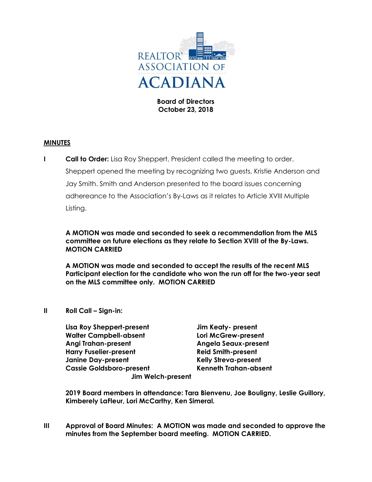

Board of Directors October 23, 2018

#### MINUTES

**I Call to Order:** Lisa Roy Sheppert, President called the meeting to order. Sheppert opened the meeting by recognizing two guests, Kristie Anderson and Jay Smith. Smith and Anderson presented to the board issues concerning adhereance to the Association's By-Laws as it relates to Article XVIII Multiple Listing.

A MOTION was made and seconded to seek a recommendation from the MLS committee on future elections as they relate to Section XVIII of the By-Laws. MOTION CARRIED

A MOTION was made and seconded to accept the results of the recent MLS Participant election for the candidate who won the run off for the two-year seat on the MLS committee only. MOTION CARRIED

II Roll Call – Sign-in:

| Lisa Roy Sheppert-present       | Jim Keaty- present           |
|---------------------------------|------------------------------|
| <b>Walter Campbell-absent</b>   | Lori McGrew-present          |
| <b>Angi Trahan-present</b>      | <b>Angela Seaux-present</b>  |
| <b>Harry Fuselier-present</b>   | <b>Reid Smith-present</b>    |
| <b>Janine Day-present</b>       | <b>Kelly Streva-present</b>  |
| <b>Cassie Goldsboro-present</b> | <b>Kenneth Trahan-absent</b> |
| <b>Jim Welch-present</b>        |                              |

2019 Board members in attendance: Tara Bienvenu, Joe Bouligny, Leslie Guillory, Kimberely LaFleur, Lori McCarthy, Ken Simeral.

III Approval of Board Minutes: A MOTION was made and seconded to approve the minutes from the September board meeting. MOTION CARRIED.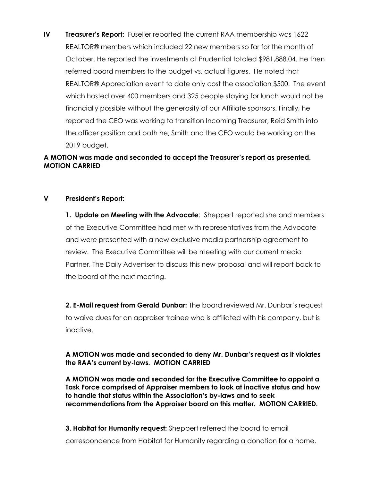IV Treasurer's Report: Fuselier reported the current RAA membership was 1622 REALTOR® members which included 22 new members so far for the month of October. He reported the investments at Prudential totaled \$981,888.04. He then referred board members to the budget vs. actual figures. He noted that REALTOR® Appreciation event to date only cost the association \$500. The event which hosted over 400 members and 325 people staying for lunch would not be financially possible without the generosity of our Affiliate sponsors. Finally, he reported the CEO was working to transition Incoming Treasurer, Reid Smith into the officer position and both he, Smith and the CEO would be working on the 2019 budget.

# A MOTION was made and seconded to accept the Treasurer's report as presented. MOTION CARRIED

## V President's Report:

1. Update on Meeting with the Advocate: Sheppert reported she and members of the Executive Committee had met with representatives from the Advocate and were presented with a new exclusive media partnership agreement to review. The Executive Committee will be meeting with our current media Partner, The Daily Advertiser to discuss this new proposal and will report back to the board at the next meeting.

2. E-Mail request from Gerald Dunbar: The board reviewed Mr. Dunbar's request to waive dues for an appraiser trainee who is affiliated with his company, but is inactive.

## A MOTION was made and seconded to deny Mr. Dunbar's request as it violates the RAA's current by-laws. MOTION CARRIED

A MOTION was made and seconded for the Executive Committee to appoint a Task Force comprised of Appraiser members to look at inactive status and how to handle that status within the Association's by-laws and to seek recommendations from the Appraiser board on this matter. MOTION CARRIED.

3. Habitat for Humanity request: Sheppert referred the board to email correspondence from Habitat for Humanity regarding a donation for a home.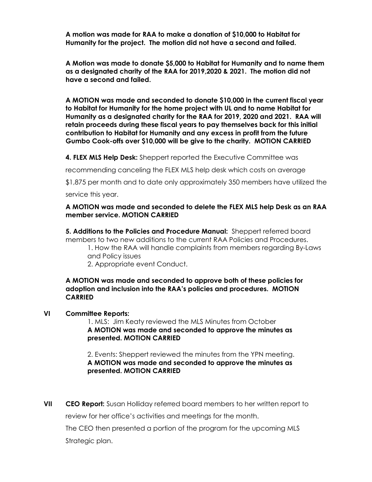A motion was made for RAA to make a donation of \$10,000 to Habitat for Humanity for the project. The motion did not have a second and failed.

A Motion was made to donate \$5,000 to Habitat for Humanity and to name them as a designated charity of the RAA for 2019,2020 & 2021. The motion did not have a second and failed.

A MOTION was made and seconded to donate \$10,000 in the current fiscal year to Habitat for Humanity for the home project with UL and to name Habitat for Humanity as a designated charity for the RAA for 2019, 2020 and 2021. RAA will retain proceeds during these fiscal years to pay themselves back for this initial contribution to Habitat for Humanity and any excess in profit from the future Gumbo Cook-offs over \$10,000 will be give to the charity. MOTION CARRIED

4. FLEX MLS Help Desk: Sheppert reported the Executive Committee was

recommending canceling the FLEX MLS help desk which costs on average

\$1,875 per month and to date only approximately 350 members have utilized the service this year.

### A MOTION was made and seconded to delete the FLEX MLS help Desk as an RAA member service. MOTION CARRIED

5. Additions to the Policies and Procedure Manual: Sheppert referred board members to two new additions to the current RAA Policies and Procedures.

- 1. How the RAA will handle complaints from members regarding By-Laws and Policy issues
	- 2. Appropriate event Conduct.

### A MOTION was made and seconded to approve both of these policies for adoption and inclusion into the RAA's policies and procedures. MOTION **CARRIED**

## VI Committee Reports:

 1. MLS: Jim Keaty reviewed the MLS Minutes from October A MOTION was made and seconded to approve the minutes as presented. MOTION CARRIED

 2. Events: Sheppert reviewed the minutes from the YPN meeting. A MOTION was made and seconded to approve the minutes as presented. MOTION CARRIED

VII CEO Report: Susan Holliday referred board members to her written report to review for her office's activities and meetings for the month.

The CEO then presented a portion of the program for the upcoming MLS Strategic plan.